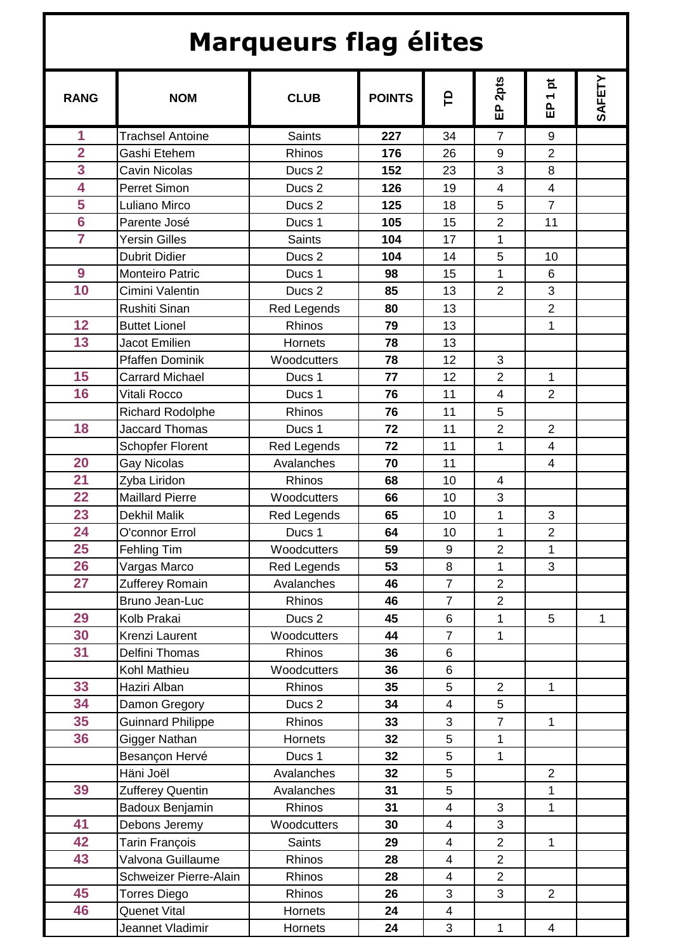## **Marqueurs flag élites**

| <b>RANG</b>             | <b>NOM</b>               | <b>CLUB</b>       | <b>POINTS</b> | e                       | 2pts<br>읎               | 효<br>$\overline{\phantom{0}}$<br>읎 | SAFETY       |
|-------------------------|--------------------------|-------------------|---------------|-------------------------|-------------------------|------------------------------------|--------------|
| 1                       | <b>Trachsel Antoine</b>  | <b>Saints</b>     | 227           | 34                      | $\overline{7}$          | 9                                  |              |
| $\overline{2}$          | Gashi Etehem             | Rhinos            | 176           | 26                      | 9                       | $\overline{2}$                     |              |
| 3                       | <b>Cavin Nicolas</b>     | Ducs <sub>2</sub> | 152           | 23                      | 3                       | 8                                  |              |
| 4                       | Perret Simon             | Ducs <sub>2</sub> | 126           | 19                      | $\overline{4}$          | $\overline{4}$                     |              |
| 5                       | Luliano Mirco            | Ducs <sub>2</sub> | 125           | 18                      | 5                       | $\overline{7}$                     |              |
| $6\phantom{1}6$         | Parente José             | Ducs 1            | 105           | 15                      | $\overline{2}$          | 11                                 |              |
| $\overline{\mathbf{7}}$ | <b>Yersin Gilles</b>     | Saints            | 104           | 17                      | $\overline{1}$          |                                    |              |
|                         | <b>Dubrit Didier</b>     | Ducs <sub>2</sub> | 104           | 14                      | 5                       | 10                                 |              |
| $\boldsymbol{9}$        | Monteiro Patric          | Ducs 1            | 98            | 15                      | 1                       | 6                                  |              |
| 10                      | Cimini Valentin          | Ducs <sub>2</sub> | 85            | 13                      | $\overline{2}$          | 3                                  |              |
|                         | Rushiti Sinan            | Red Legends       | 80            | 13                      |                         | $\overline{2}$                     |              |
| 12                      | <b>Buttet Lionel</b>     | Rhinos            | 79            | 13                      |                         | 1                                  |              |
| 13                      | <b>Jacot Emilien</b>     | Hornets           | 78            | 13                      |                         |                                    |              |
|                         | <b>Pfaffen Dominik</b>   | Woodcutters       | 78            | 12                      | 3                       |                                    |              |
| 15                      | <b>Carrard Michael</b>   | Ducs 1            | 77            | 12                      | $\overline{2}$          | 1                                  |              |
| 16                      | Vitali Rocco             | Ducs 1            | 76            | 11                      | $\overline{\mathbf{4}}$ | $\overline{2}$                     |              |
|                         | <b>Richard Rodolphe</b>  | Rhinos            | 76            | 11                      | 5                       |                                    |              |
| 18                      | <b>Jaccard Thomas</b>    | Ducs 1            | 72            | 11                      | $\mathbf 2$             | $\overline{2}$                     |              |
|                         | <b>Schopfer Florent</b>  | Red Legends       | 72            | 11                      | $\mathbf{1}$            | $\overline{4}$                     |              |
| 20                      | <b>Gay Nicolas</b>       | Avalanches        | 70            | 11                      |                         | $\overline{4}$                     |              |
| 21                      | Zyba Liridon             | Rhinos            | 68            | 10                      | 4                       |                                    |              |
| $\overline{22}$         | <b>Maillard Pierre</b>   | Woodcutters       | 66            | 10                      | 3                       |                                    |              |
| 23                      | Dekhil Malik             | Red Legends       | 65            | 10                      | 1                       | 3                                  |              |
| 24                      | O'connor Errol           | Ducs 1            | 64            | 10                      | 1                       | $\overline{2}$                     |              |
| 25                      | Fehling Tim              | Woodcutters       | 59            | $\boldsymbol{9}$        | $\overline{2}$          | 1                                  |              |
| 26                      | Vargas Marco             | Red Legends       | 53            | 8                       | $\mathbf 1$             | 3                                  |              |
| 27                      | Zufferey Romain          | Avalanches        | 46            | $\overline{7}$          | $\overline{2}$          |                                    |              |
|                         | Bruno Jean-Luc           | Rhinos            | 46            | $\overline{7}$          | $\overline{2}$          |                                    |              |
| 29                      | Kolb Prakai              | Ducs <sub>2</sub> | 45            | 6                       | 1                       | 5                                  | $\mathbf{1}$ |
| 30                      | Krenzi Laurent           | Woodcutters       | 44            | $\overline{7}$          | 1                       |                                    |              |
| 31                      | Delfini Thomas           | Rhinos            | 36            | 6                       |                         |                                    |              |
|                         | Kohl Mathieu             | Woodcutters       | 36            | 6                       |                         |                                    |              |
| 33                      | Haziri Alban             | Rhinos            | 35            | 5                       | $\mathbf{2}$            | 1                                  |              |
| 34                      | Damon Gregory            | Ducs <sub>2</sub> | 34            | $\overline{\mathbf{4}}$ | 5                       |                                    |              |
| 35                      | <b>Guinnard Philippe</b> | Rhinos            | 33            | 3                       | $\overline{7}$          | 1                                  |              |
| 36                      | Gigger Nathan            | Hornets           | 32            | 5                       | 1                       |                                    |              |
|                         | Besançon Hervé           | Ducs 1            | 32            | 5                       | 1                       |                                    |              |
|                         | Häni Joël                | Avalanches        | 32            | 5                       |                         | $\overline{2}$                     |              |
| 39                      | <b>Zufferey Quentin</b>  | Avalanches        | 31            | 5                       |                         | 1                                  |              |
|                         | Badoux Benjamin          | Rhinos            | 31            | $\overline{\mathbf{4}}$ | 3                       | $\mathbf 1$                        |              |
| 41                      | Debons Jeremy            | Woodcutters       | 30            | $\overline{4}$          | 3                       |                                    |              |
| 42                      | Tarin François           | Saints            | 29            | $\overline{\mathbf{4}}$ | $\overline{2}$          | 1                                  |              |
| 43                      | Valvona Guillaume        | Rhinos            | 28            | $\overline{4}$          | $\overline{2}$          |                                    |              |
|                         | Schweizer Pierre-Alain   | Rhinos            | 28            | $\overline{4}$          | $\overline{2}$          |                                    |              |
| 45                      | Torres Diego             | Rhinos            | 26            | 3                       | 3                       | $\overline{2}$                     |              |
| 46                      | Quenet Vital             | Hornets           | 24            | $\overline{\mathbf{4}}$ |                         |                                    |              |
|                         | Jeannet Vladimir         | Hornets           | 24            | 3                       | 1                       | $\overline{4}$                     |              |